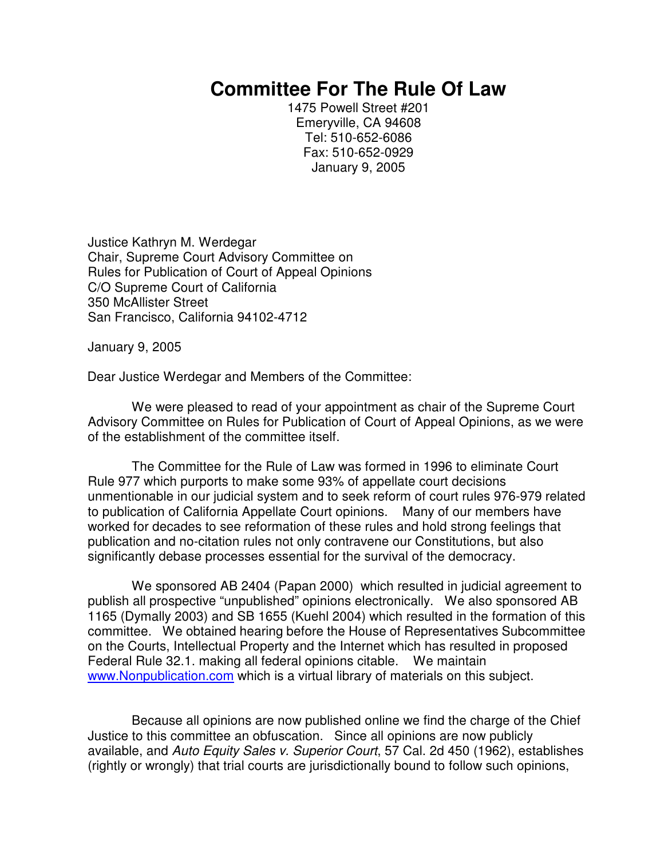## **Committee For The Rule Of Law**

1475 Powell Street #201 Emeryville, CA 94608 Tel: 510-652-6086 Fax: 510-652-0929 January 9, 2005

Justice Kathryn M. Werdegar Chair, Supreme Court Advisory Committee on Rules for Publication of Court of Appeal Opinions C/O Supreme Court of California 350 McAllister Street San Francisco, California 94102-4712

January 9, 2005

Dear Justice Werdegar and Members of the Committee:

We were pleased to read of your appointment as chair of the Supreme Court Advisory Committee on Rules for Publication of Court of Appeal Opinions, as we were of the establishment of the committee itself.

The Committee for the Rule of Law was formed in 1996 to eliminate Court Rule 977 which purports to make some 93% of appellate court decisions unmentionable in our judicial system and to seek reform of court rules 976-979 related to publication of California Appellate Court opinions. Many of our members have worked for decades to see reformation of these rules and hold strong feelings that publication and no-citation rules not only contravene our Constitutions, but also significantly debase processes essential for the survival of the democracy.

We sponsored AB 2404 (Papan 2000) which resulted in judicial agreement to publish all prospective "unpublished" opinions electronically. We also sponsored AB 1165 (Dymally 2003) and SB 1655 (Kuehl 2004) which resulted in the formation of this committee. We obtained hearing before the House of Representatives Subcommittee on the Courts, Intellectual Property and the Internet which has resulted in proposed Federal Rule 32.1. making all federal opinions citable. We maintain www.Nonpublication.com which is a virtual library of materials on this subject.

Because all opinions are now published online we find the charge of the Chief Justice to this committee an obfuscation. Since all opinions are now publicly available, and *Auto Equity Sales v. Superior Court*, 57 Cal. 2d 450 (1962), establishes (rightly or wrongly) that trial courts are jurisdictionally bound to follow such opinions,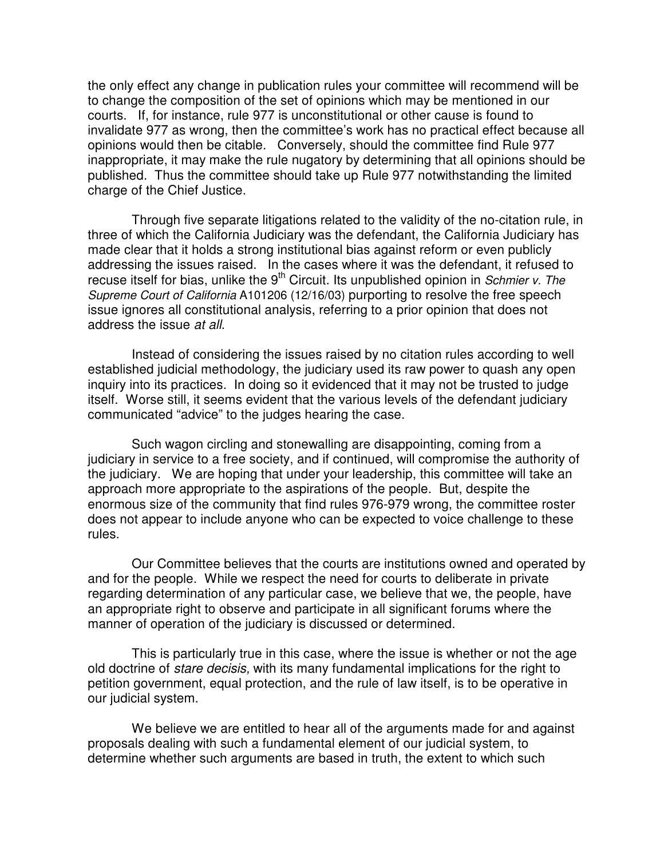the only effect any change in publication rules your committee will recommend will be to change the composition of the set of opinions which may be mentioned in our courts. If, for instance, rule 977 is unconstitutional or other cause is found to invalidate 977 as wrong, then the committee's work has no practical effect because all opinions would then be citable. Conversely, should the committee find Rule 977 inappropriate, it may make the rule nugatory by determining that all opinions should be published. Thus the committee should take up Rule 977 notwithstanding the limited charge of the Chief Justice.

Through five separate litigations related to the validity of the no-citation rule, in three of which the California Judiciary was the defendant, the California Judiciary has made clear that it holds a strong institutional bias against reform or even publicly addressing the issues raised. In the cases where it was the defendant, it refused to recuse itself for bias, unlike the 9<sup>th</sup> Circuit. Its unpublished opinion in *Schmier v. The Supreme Court of California* A101206 (12/16/03) purporting to resolve the free speech issue ignores all constitutional analysis, referring to a prior opinion that does not address the issue *at all*.

Instead of considering the issues raised by no citation rules according to well established judicial methodology, the judiciary used its raw power to quash any open inquiry into its practices. In doing so it evidenced that it may not be trusted to judge itself. Worse still, it seems evident that the various levels of the defendant judiciary communicated "advice" to the judges hearing the case.

Such wagon circling and stonewalling are disappointing, coming from a judiciary in service to a free society, and if continued, will compromise the authority of the judiciary. We are hoping that under your leadership, this committee will take an approach more appropriate to the aspirations of the people. But, despite the enormous size of the community that find rules 976-979 wrong, the committee roster does not appear to include anyone who can be expected to voice challenge to these rules.

Our Committee believes that the courts are institutions owned and operated by and for the people. While we respect the need for courts to deliberate in private regarding determination of any particular case, we believe that we, the people, have an appropriate right to observe and participate in all significant forums where the manner of operation of the judiciary is discussed or determined.

This is particularly true in this case, where the issue is whether or not the age old doctrine of *stare decisis,* with its many fundamental implications for the right to petition government, equal protection, and the rule of law itself, is to be operative in our judicial system.

We believe we are entitled to hear all of the arguments made for and against proposals dealing with such a fundamental element of our judicial system, to determine whether such arguments are based in truth, the extent to which such